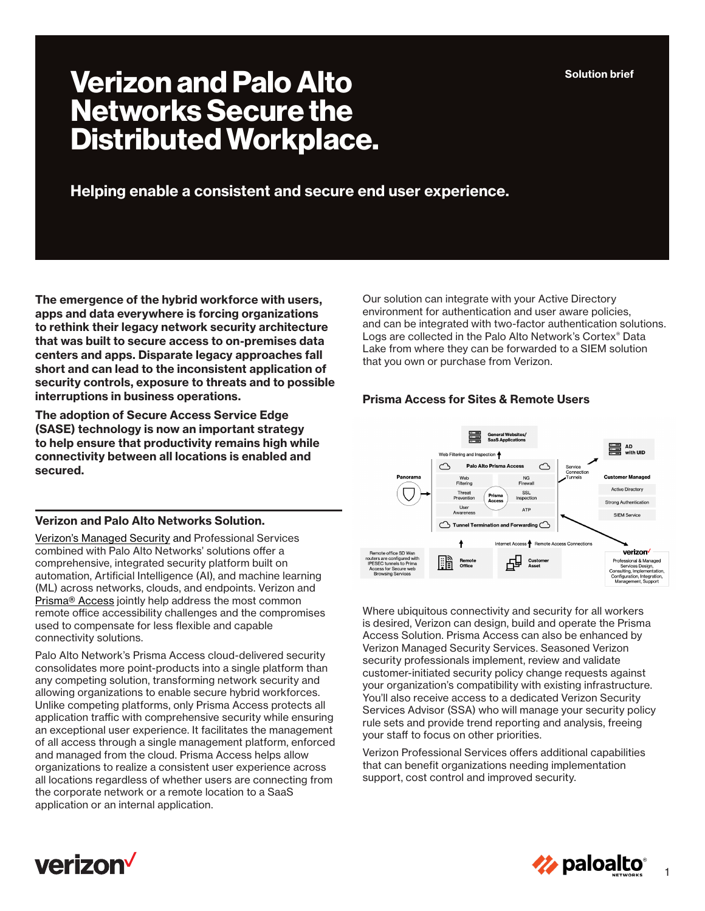# **Verizon and Palo Alto Networks Secure the Distributed Workplace.**

**Helping enable a consistent and secure end user experience.**

**The emergence of the hybrid workforce with users, apps and data everywhere is forcing organizations to rethink their legacy network security architecture that was built to secure access to on-premises data centers and apps. Disparate legacy approaches fall short and can lead to the inconsistent application of security controls, exposure to threats and to possible interruptions in business operations.** 

**The adoption of Secure Access Service Edge (SASE) technology is now an important strategy to help ensure that productivity remains high while connectivity between all locations is enabled and secured.** 

## **Verizon and Palo Alto Networks Solution.**

[Verizon's Managed Security](https://www.verizon.com/business/products/security/network-cloud-security/advanced-secure-access-service-edge/) and Professional Services combined with Palo Alto Networks' solutions offer a comprehensive, integrated security platform built on automation, Artificial Intelligence (AI), and machine learning (ML) across networks, clouds, and endpoints. Verizon and [Prisma® Access](https://www.paloaltonetworks.com/sase/access) jointly help address the most common remote office accessibility challenges and the compromises used to compensate for less flexible and capable connectivity solutions.

Palo Alto Network's Prisma Access cloud-delivered security consolidates more point-products into a single platform than any competing solution, transforming network security and allowing organizations to enable secure hybrid workforces. Unlike competing platforms, only Prisma Access protects all application traffic with comprehensive security while ensuring an exceptional user experience. It facilitates the management of all access through a single management platform, enforced and managed from the cloud. Prisma Access helps allow organizations to realize a consistent user experience across all locations regardless of whether users are connecting from the corporate network or a remote location to a SaaS application or an internal application.

Our solution can integrate with your Active Directory environment for authentication and user aware policies, and can be integrated with two-factor authentication solutions. Logs are collected in the Palo Alto Network's Cortex® Data Lake from where they can be forwarded to a SIEM solution that you own or purchase from Verizon.

# **Prisma Access for Sites & Remote Users**



Where ubiquitous connectivity and security for all workers is desired, Verizon can design, build and operate the Prisma Access Solution. Prisma Access can also be enhanced by Verizon Managed Security Services. Seasoned Verizon security professionals implement, review and validate customer-initiated security policy change requests against your organization's compatibility with existing infrastructure. You'll also receive access to a dedicated Verizon Security Services Advisor (SSA) who will manage your security policy rule sets and provide trend reporting and analysis, freeing your staff to focus on other priorities.

Verizon Professional Services offers additional capabilities that can benefit organizations needing implementation support, cost control and improved security.





1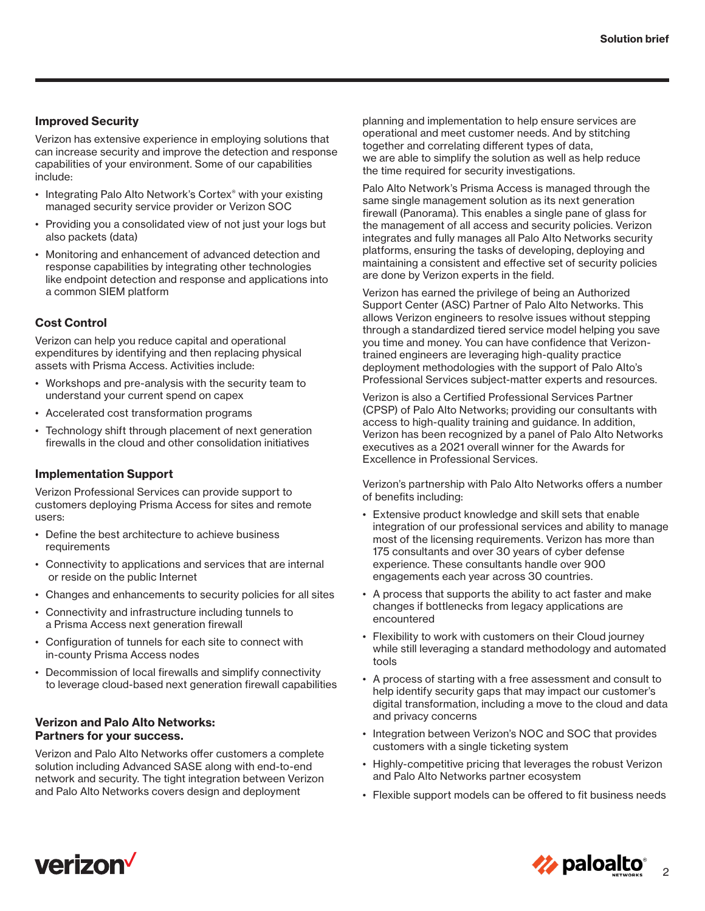#### **Improved Security**

Verizon has extensive experience in employing solutions that can increase security and improve the detection and response capabilities of your environment. Some of our capabilities include:

- Integrating Palo Alto Network's Cortex<sup>®</sup> with your existing managed security service provider or Verizon SOC
- Providing you a consolidated view of not just your logs but also packets (data)
- Monitoring and enhancement of advanced detection and response capabilities by integrating other technologies like endpoint detection and response and applications into a common SIEM platform

# **Cost Control**

Verizon can help you reduce capital and operational expenditures by identifying and then replacing physical assets with Prisma Access. Activities include:

- Workshops and pre-analysis with the security team to understand your current spend on capex
- Accelerated cost transformation programs
- Technology shift through placement of next generation firewalls in the cloud and other consolidation initiatives

#### **Implementation Support**

Verizon Professional Services can provide support to customers deploying Prisma Access for sites and remote users:

- Define the best architecture to achieve business requirements
- Connectivity to applications and services that are internal or reside on the public Internet
- Changes and enhancements to security policies for all sites
- Connectivity and infrastructure including tunnels to a Prisma Access next generation firewall
- Configuration of tunnels for each site to connect with in-county Prisma Access nodes
- Decommission of local firewalls and simplify connectivity to leverage cloud-based next generation firewall capabilities

#### **Verizon and Palo Alto Networks: Partners for your success.**

Verizon and Palo Alto Networks offer customers a complete solution including Advanced SASE along with end-to-end network and security. The tight integration between Verizon and Palo Alto Networks covers design and deployment

planning and implementation to help ensure services are operational and meet customer needs. And by stitching together and correlating different types of data, we are able to simplify the solution as well as help reduce the time required for security investigations.

Palo Alto Network's Prisma Access is managed through the same single management solution as its next generation firewall (Panorama). This enables a single pane of glass for the management of all access and security policies. Verizon integrates and fully manages all Palo Alto Networks security platforms, ensuring the tasks of developing, deploying and maintaining a consistent and effective set of security policies are done by Verizon experts in the field.

Verizon has earned the privilege of being an Authorized Support Center (ASC) Partner of Palo Alto Networks. This allows Verizon engineers to resolve issues without stepping through a standardized tiered service model helping you save you time and money. You can have confidence that Verizontrained engineers are leveraging high-quality practice deployment methodologies with the support of Palo Alto's Professional Services subject-matter experts and resources.

Verizon is also a Certified Professional Services Partner (CPSP) of Palo Alto Networks; providing our consultants with access to high-quality training and guidance. In addition, Verizon has been recognized by a panel of Palo Alto Networks executives as a 2021 overall winner for the Awards for Excellence in Professional Services.

Verizon's partnership with Palo Alto Networks offers a number of benefits including:

- Extensive product knowledge and skill sets that enable integration of our professional services and ability to manage most of the licensing requirements. Verizon has more than 175 consultants and over 30 years of cyber defense experience. These consultants handle over 900 engagements each year across 30 countries.
- A process that supports the ability to act faster and make changes if bottlenecks from legacy applications are encountered
- Flexibility to work with customers on their Cloud journey while still leveraging a standard methodology and automated tools
- A process of starting with a free assessment and consult to help identify security gaps that may impact our customer's digital transformation, including a move to the cloud and data and privacy concerns
- Integration between Verizon's NOC and SOC that provides customers with a single ticketing system
- Highly-competitive pricing that leverages the robust Verizon and Palo Alto Networks partner ecosystem
- Flexible support models can be offered to fit business needs